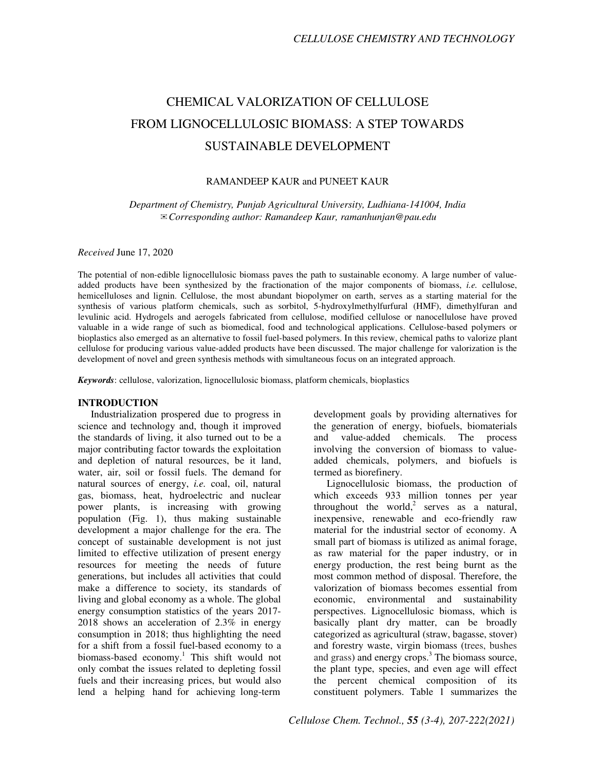# CHEMICAL VALORIZATION OF CELLULOSE FROM LIGNOCELLULOSIC BIOMASS: A STEP TOWARDS SUSTAINABLE DEVELOPMENT

### RAMANDEEP KAUR and PUNEET KAUR

*Department of Chemistry, Punjab Agricultural University, Ludhiana-141004, India*  ✉*Corresponding author: Ramandeep Kaur, ramanhunjan@pau.edu*

### *Received* June 17, 2020

The potential of non-edible lignocellulosic biomass paves the path to sustainable economy. A large number of valueadded products have been synthesized by the fractionation of the major components of biomass, *i.e.* cellulose, hemicelluloses and lignin. Cellulose, the most abundant biopolymer on earth, serves as a starting material for the synthesis of various platform chemicals, such as sorbitol, 5-hydroxylmethylfurfural (HMF), dimethylfuran and levulinic acid. Hydrogels and aerogels fabricated from cellulose, modified cellulose or nanocellulose have proved valuable in a wide range of such as biomedical, food and technological applications. Cellulose-based polymers or bioplastics also emerged as an alternative to fossil fuel-based polymers. In this review, chemical paths to valorize plant cellulose for producing various value-added products have been discussed. The major challenge for valorization is the development of novel and green synthesis methods with simultaneous focus on an integrated approach.

*Keywords*: cellulose, valorization, lignocellulosic biomass, platform chemicals, bioplastics

### **INTRODUCTION**

Industrialization prospered due to progress in science and technology and, though it improved the standards of living, it also turned out to be a major contributing factor towards the exploitation and depletion of natural resources, be it land, water, air, soil or fossil fuels. The demand for natural sources of energy, *i.e.* coal, oil, natural gas, biomass, heat, hydroelectric and nuclear power plants, is increasing with growing population (Fig. 1), thus making sustainable development a major challenge for the era. The concept of sustainable development is not just limited to effective utilization of present energy resources for meeting the needs of future generations, but includes all activities that could make a difference to society, its standards of living and global economy as a whole. The global energy consumption statistics of the years 2017- 2018 shows an acceleration of 2.3% in energy consumption in 2018; thus highlighting the need for a shift from a fossil fuel-based economy to a biomass-based economy.<sup>1</sup> This shift would not only combat the issues related to depleting fossil fuels and their increasing prices, but would also lend a helping hand for achieving long-term

development goals by providing alternatives for the generation of energy, biofuels, biomaterials and value-added chemicals. The process involving the conversion of biomass to valueadded chemicals, polymers, and biofuels is termed as biorefinery.

Lignocellulosic biomass, the production of which exceeds 933 million tonnes per year throughout the world,<sup>2</sup> serves as a natural, inexpensive, renewable and eco-friendly raw material for the industrial sector of economy. A small part of biomass is utilized as animal forage, as raw material for the paper industry, or in energy production, the rest being burnt as the most common method of disposal. Therefore, the valorization of biomass becomes essential from economic, environmental and sustainability perspectives. Lignocellulosic biomass, which is basically plant dry matter, can be broadly categorized as agricultural (straw, bagasse, stover) and forestry waste, virgin biomass (trees, bushes and grass) and energy crops. $3$  The biomass source, the plant type, species, and even age will effect the percent chemical composition of its constituent polymers. Table 1 summarizes the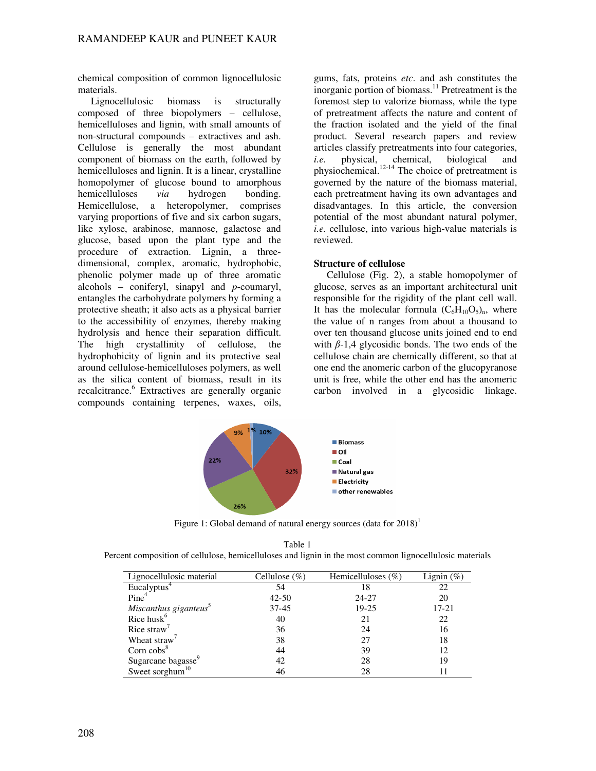chemical composition of common lignocellulosic materials.

Lignocellulosic biomass is structurally composed of three biopolymers – cellulose, hemicelluloses and lignin, with small amounts of non-structural compounds – extractives and ash. Cellulose is generally the most abundant component of biomass on the earth, followed by hemicelluloses and lignin. It is a linear, crystalline homopolymer of glucose bound to amorphous hemicelluloses *via* hydrogen bonding. Hemicellulose, a heteropolymer, comprises varying proportions of five and six carbon sugars, like xylose, arabinose, mannose, galactose and glucose, based upon the plant type and the procedure of extraction. Lignin, a threedimensional, complex, aromatic, hydrophobic, phenolic polymer made up of three aromatic alcohols – coniferyl, sinapyl and *p*-coumaryl, entangles the carbohydrate polymers by forming a protective sheath; it also acts as a physical barrier to the accessibility of enzymes, thereby making hydrolysis and hence their separation difficult. The high crystallinity of cellulose, the hydrophobicity of lignin and its protective seal around cellulose-hemicelluloses polymers, as well as the silica content of biomass, result in its recalcitrance.<sup>6</sup> Extractives are generally organic compounds containing terpenes, waxes, oils,

gums, fats, proteins *etc*. and ash constitutes the inorganic portion of biomass.<sup>11</sup> Pretreatment is the foremost step to valorize biomass, while the type of pretreatment affects the nature and content of the fraction isolated and the yield of the final product. Several research papers and review articles classify pretreatments into four categories, *i.e.* physical, chemical, biological and physiochemical. $12-14$  The choice of pretreatment is governed by the nature of the biomass material, each pretreatment having its own advantages and disadvantages. In this article, the conversion potential of the most abundant natural polymer, *i.e.* cellulose, into various high-value materials is reviewed.

### **Structure of cellulose**

Cellulose (Fig. 2), a stable homopolymer of glucose, serves as an important architectural unit responsible for the rigidity of the plant cell wall. It has the molecular formula  $(C_6H_{10}O_5)_n$ , where the value of n ranges from about a thousand to over ten thousand glucose units joined end to end with  $\beta$ -1,4 glycosidic bonds. The two ends of the cellulose chain are chemically different, so that at one end the anomeric carbon of the glucopyranose unit is free, while the other end has the anomeric carbon involved in a glycosidic linkage.



Figure 1: Global demand of natural energy sources (data for  $2018$ )<sup>1</sup>

| Table 1                                                                                                  |
|----------------------------------------------------------------------------------------------------------|
| Percent composition of cellulose, hemicelluloses and lignin in the most common lignocellulosic materials |

| Lignocellulosic material          | Cellulose $(\%)$ | Hemicelluloses $(\%)$ | Lignin $(\%)$ |
|-----------------------------------|------------------|-----------------------|---------------|
| Eucalyptus <sup>4</sup>           | 54               | 18                    | 22            |
| Pine <sup>4</sup>                 | $42 - 50$        | $24 - 27$             | 20            |
| Miscanthus giganteus <sup>5</sup> | $37 - 45$        | $19 - 25$             | 17-21         |
| Rice husk <sup>6</sup>            | 40               | 21                    | 22            |
| Rice straw'                       | 36               | 24                    | 16            |
| Wheat straw <sup>'</sup>          | 38               | 27                    | 18            |
| Corn $cobs8$                      | 44               | 39                    | 12            |
| Sugarcane bagasse <sup>9</sup>    | 42               | 28                    | 19            |
| Sweet sorghum $10$                | 46               | 28                    |               |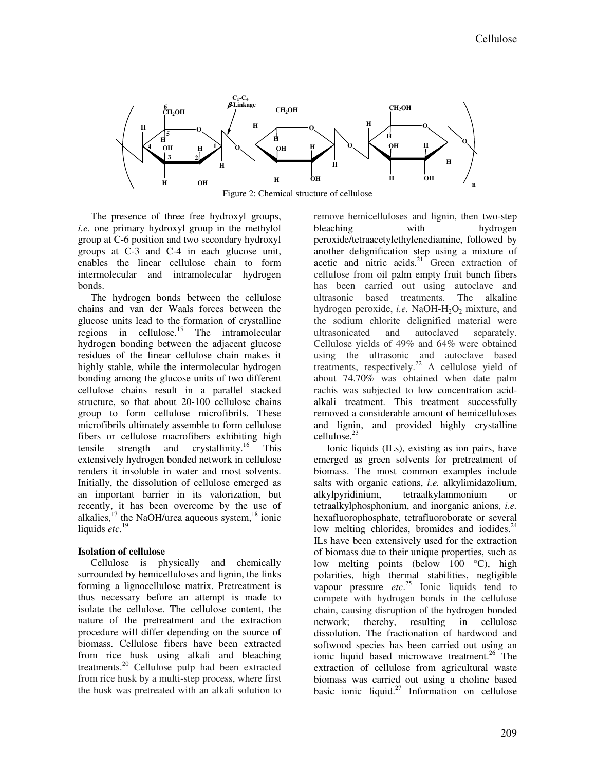

Figure 2: Chemical structure of cellulose

The presence of three free hydroxyl groups, *i.e.* one primary hydroxyl group in the methylol group at C-6 position and two secondary hydroxyl groups at C-3 and C-4 in each glucose unit, enables the linear cellulose chain to form intermolecular and intramolecular hydrogen bonds.

The hydrogen bonds between the cellulose chains and van der Waals forces between the glucose units lead to the formation of crystalline regions in cellulose.<sup>15</sup> The intramolecular hydrogen bonding between the adjacent glucose residues of the linear cellulose chain makes it highly stable, while the intermolecular hydrogen bonding among the glucose units of two different cellulose chains result in a parallel stacked structure, so that about 20-100 cellulose chains group to form cellulose microfibrils. These microfibrils ultimately assemble to form cellulose fibers or cellulose macrofibers exhibiting high tensile strength and crystallinity.<sup>16</sup> This extensively hydrogen bonded network in cellulose renders it insoluble in water and most solvents. Initially, the dissolution of cellulose emerged as an important barrier in its valorization, but recently, it has been overcome by the use of alkalies, $^{17}$  the NaOH/urea aqueous system, $^{18}$  ionic liquids *etc*. 19

### **Isolation of cellulose**

Cellulose is physically and chemically surrounded by hemicelluloses and lignin, the links forming a lignocellulose matrix. Pretreatment is thus necessary before an attempt is made to isolate the cellulose. The cellulose content, the nature of the pretreatment and the extraction procedure will differ depending on the source of biomass. Cellulose fibers have been extracted from rice husk using alkali and bleaching treatments.<sup>20</sup> Cellulose pulp had been extracted from rice husk by a multi-step process, where first the husk was pretreated with an alkali solution to

remove hemicelluloses and lignin, then two-step bleaching with hydrogen peroxide/tetraacetylethylenediamine, followed by another delignification step using a mixture of acetic and nitric acids.<sup>21</sup> Green extraction of cellulose from oil palm empty fruit bunch fibers has been carried out using autoclave and ultrasonic based treatments. The alkaline hydrogen peroxide, *i.e.* NaOH-H<sub>2</sub>O<sub>2</sub> mixture, and the sodium chlorite delignified material were ultrasonicated and autoclaved separately. Cellulose yields of 49% and 64% were obtained using the ultrasonic and autoclave based treatments, respectively.<sup>22</sup> A cellulose yield of about 74.70% was obtained when date palm rachis was subjected to low concentration acidalkali treatment. This treatment successfully removed a considerable amount of hemicelluloses and lignin, and provided highly crystalline cellulose.<sup>23</sup>

Ionic liquids (ILs), existing as ion pairs, have emerged as green solvents for pretreatment of biomass. The most common examples include salts with organic cations, *i.e.* alkylimidazolium, alkylpyridinium, tetraalkylammonium or tetraalkylphosphonium, and inorganic anions, *i.e.* hexafluorophosphate, tetrafluoroborate or several low melting chlorides, bromides and iodides. $^{24}$ ILs have been extensively used for the extraction of biomass due to their unique properties, such as low melting points (below 100 °C), high polarities, high thermal stabilities, negligible vapour pressure *etc*. <sup>25</sup> Ionic liquids tend to compete with hydrogen bonds in the cellulose chain, causing disruption of the hydrogen bonded network; thereby, resulting in cellulose dissolution. The fractionation of hardwood and softwood species has been carried out using an ionic liquid based microwave treatment.<sup>26</sup> The extraction of cellulose from agricultural waste biomass was carried out using a choline based basic ionic liquid.<sup>27</sup> Information on cellulose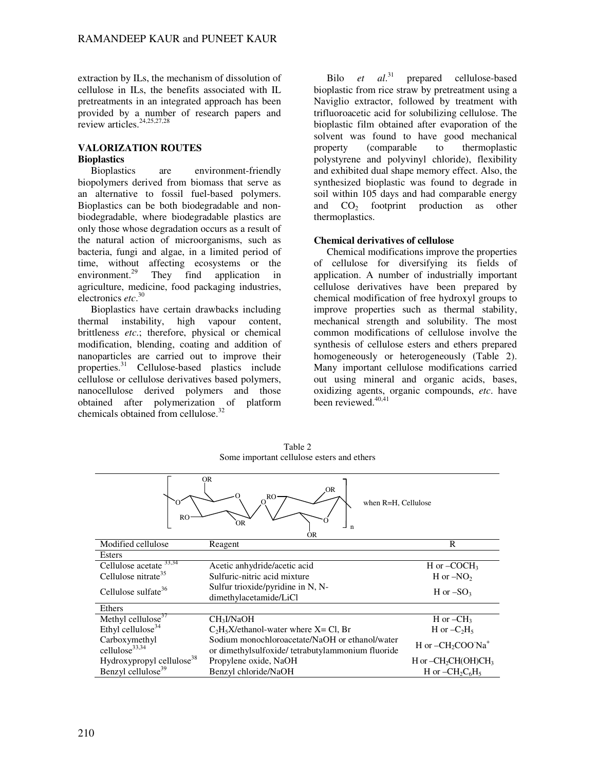extraction by ILs, the mechanism of dissolution of cellulose in ILs, the benefits associated with IL pretreatments in an integrated approach has been provided by a number of research papers and review articles.<sup>24,25,27,28</sup>

# **VALORIZATION ROUTES Bioplastics**

are environment-friendly biopolymers derived from biomass that serve as an alternative to fossil fuel-based polymers. Bioplastics can be both biodegradable and nonbiodegradable, where biodegradable plastics are only those whose degradation occurs as a result of the natural action of microorganisms, such as bacteria, fungi and algae, in a limited period of time, without affecting ecosystems or the<br>environment.<sup>29</sup> They find application in They find application in agriculture, medicine, food packaging industries, electronics *etc*. 30

Bioplastics have certain drawbacks including thermal instability, high vapour content, brittleness *etc*.; therefore, physical or chemical modification, blending, coating and addition of nanoparticles are carried out to improve their properties.<sup>31</sup> Cellulose-based plastics include cellulose or cellulose derivatives based polymers, nanocellulose derived polymers and those obtained after polymerization of platform chemicals obtained from cellulose.<sup>32</sup>

Bilo *et al*. prepared cellulose-based bioplastic from rice straw by pretreatment using a Naviglio extractor, followed by treatment with trifluoroacetic acid for solubilizing cellulose. The bioplastic film obtained after evaporation of the solvent was found to have good mechanical property (comparable to thermoplastic polystyrene and polyvinyl chloride), flexibility and exhibited dual shape memory effect. Also, the synthesized bioplastic was found to degrade in soil within 105 days and had comparable energy and  $CO<sub>2</sub>$  footprint production as other thermoplastics.

### **Chemical derivatives of cellulose**

Chemical modifications improve the properties of cellulose for diversifying its fields of application. A number of industrially important cellulose derivatives have been prepared by chemical modification of free hydroxyl groups to improve properties such as thermal stability, mechanical strength and solubility. The most common modifications of cellulose involve the synthesis of cellulose esters and ethers prepared homogeneously or heterogeneously (Table 2). Many important cellulose modifications carried out using mineral and organic acids, bases, oxidizing agents, organic compounds, *etc*. have been reviewed.<sup>40,41</sup>

| $\epsilon$<br><sub>RO</sub>                   | <b>OR</b><br>OR<br>$O^{RO}$<br>when R=H, Cellulose<br>ÓR<br>$\mathbf n$<br>OR                                              |                          |
|-----------------------------------------------|----------------------------------------------------------------------------------------------------------------------------|--------------------------|
| Modified cellulose                            | Reagent                                                                                                                    | $\mathsf{R}$             |
| Esters                                        |                                                                                                                            |                          |
| Cellulose $\overline{\text{acetate}}^{33,34}$ | Acetic anhydride/acetic acid                                                                                               | H or $-COCH3$            |
| Cellulose nitrate <sup>35</sup>               | Sulfuric-nitric acid mixture                                                                                               | H or $-NO_2$             |
| Cellulose sulfate <sup>36</sup>               | Sulfur trioxide/pyridine in N, N-<br>dimethylacetamide/LiCl                                                                | H or $-SO_3$             |
| Ethers                                        |                                                                                                                            |                          |
| Methyl cellulose $37$                         | CH <sub>3</sub> I/NaOH                                                                                                     | H or $-CH3$              |
| Ethyl cellulose <sup>34</sup>                 | $C_2H_5X$ /ethanol-water where $X = Cl$ , Br                                                                               | H or $-C_2H_5$           |
| Carboxymethyl<br>cellulose <sup>33,34</sup>   | Sodium monochloroacetate/NaOH or ethanol/water<br>H or $-CH_2COO'Na^+$<br>or dimethylsulfoxide/tetrabutylammonium fluoride |                          |
| Hydroxypropyl cellulose <sup>38</sup>         | Propylene oxide, NaOH                                                                                                      | $H$ or $-CH_2CH(OH)CH_3$ |
| Benzyl cellulose <sup>39</sup>                | Benzyl chloride/NaOH                                                                                                       | H or $-CH_2C_6H_5$       |

Table 2 Some important cellulose esters and ethers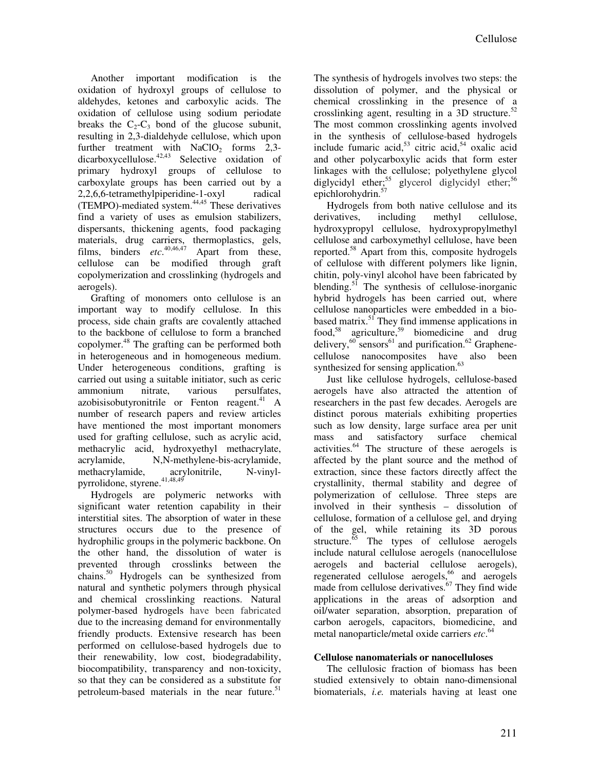Another important modification is the oxidation of hydroxyl groups of cellulose to aldehydes, ketones and carboxylic acids. The oxidation of cellulose using sodium periodate breaks the  $C_2-C_3$  bond of the glucose subunit, resulting in 2,3-dialdehyde cellulose, which upon further treatment with  $NaClO<sub>2</sub>$  forms 2,3dicarboxycellulose. $42,43$  Selective oxidation of primary hydroxyl groups of cellulose to carboxylate groups has been carried out by a 2,2,6,6-tetramethylpiperidine-1-oxyl radical (TEMPO)-mediated system.44,45 These derivatives find a variety of uses as emulsion stabilizers, dispersants, thickening agents, food packaging materials, drug carriers, thermoplastics, gels, films, binders *etc*. 40,46,47 Apart from these, cellulose can be modified through graft copolymerization and crosslinking (hydrogels and aerogels).

Grafting of monomers onto cellulose is an important way to modify cellulose. In this process, side chain grafts are covalently attached to the backbone of cellulose to form a branched copolymer.<sup>48</sup> The grafting can be performed both in heterogeneous and in homogeneous medium. Under heterogeneous conditions, grafting is carried out using a suitable initiator, such as ceric ammonium nitrate, various persulfates, azobisisobutyronitrile or Fenton reagent. $41$  A number of research papers and review articles have mentioned the most important monomers used for grafting cellulose, such as acrylic acid, methacrylic acid, hydroxyethyl methacrylate, acrylamide, N,N-methylene-bis-acrylamide, methacrylamide, acrylonitrile, N-vinylmethacrylamide, acrylonitrile, N-vinylpyrrolidone, styrene. $41,48,49$ 

Hydrogels are polymeric networks with significant water retention capability in their interstitial sites. The absorption of water in these structures occurs due to the presence of hydrophilic groups in the polymeric backbone. On the other hand, the dissolution of water is prevented through crosslinks between the chains.<sup>50</sup> Hydrogels can be synthesized from natural and synthetic polymers through physical and chemical crosslinking reactions. Natural polymer-based hydrogels have been fabricated due to the increasing demand for environmentally friendly products. Extensive research has been performed on cellulose-based hydrogels due to their renewability, low cost, biodegradability, biocompatibility, transparency and non-toxicity, so that they can be considered as a substitute for petroleum-based materials in the near future.<sup>51</sup>

The synthesis of hydrogels involves two steps: the dissolution of polymer, and the physical or chemical crosslinking in the presence of a crosslinking agent, resulting in a 3D structure. $52$ The most common crosslinking agents involved in the synthesis of cellulose-based hydrogels include fumaric acid, $53$  citric acid, $54$  oxalic acid and other polycarboxylic acids that form ester linkages with the cellulose; polyethylene glycol diglycidyl ether;<sup>55</sup> glycerol diglycidyl ether;<sup>56</sup> epichlorohydrin.<sup>57</sup>

Hydrogels from both native cellulose and its derivatives, including methyl cellulose, hydroxypropyl cellulose, hydroxypropylmethyl cellulose and carboxymethyl cellulose, have been reported.<sup>58</sup> Apart from this, composite hydrogels of cellulose with different polymers like lignin, chitin, poly-vinyl alcohol have been fabricated by blending.<sup>51</sup> The synthesis of cellulose-inorganic hybrid hydrogels has been carried out, where cellulose nanoparticles were embedded in a biobased matrix.<sup>51</sup> They find immense applications in food,<sup>58</sup> agriculture,<sup>59</sup> biomedicine and drug delivery, $60$  sensors<sup>61</sup> and purification.<sup>62</sup> Graphenecellulose nanocomposites have also been synthesized for sensing application.<sup>63</sup>

Just like cellulose hydrogels, cellulose-based aerogels have also attracted the attention of researchers in the past few decades. Aerogels are distinct porous materials exhibiting properties such as low density, large surface area per unit mass and satisfactory surface chemical activities.<sup>64</sup> The structure of these aerogels is affected by the plant source and the method of extraction, since these factors directly affect the crystallinity, thermal stability and degree of polymerization of cellulose. Three steps are involved in their synthesis – dissolution of cellulose, formation of a cellulose gel, and drying of the gel, while retaining its 3D porous structure. $\frac{65}{ }$  The types of cellulose aerogels include natural cellulose aerogels (nanocellulose aerogels and bacterial cellulose aerogels), regenerated cellulose aerogels, $66$  and aerogels made from cellulose derivatives. $67$  They find wide applications in the areas of adsorption and oil/water separation, absorption, preparation of carbon aerogels, capacitors, biomedicine, and metal nanoparticle/metal oxide carriers *etc*. 64

## **Cellulose nanomaterials or nanocelluloses**

The cellulosic fraction of biomass has been studied extensively to obtain nano-dimensional biomaterials, *i.e.* materials having at least one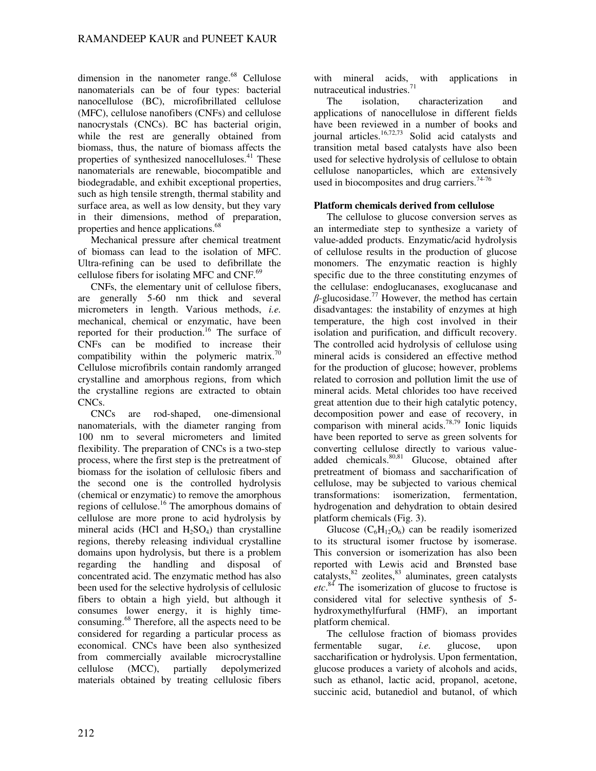dimension in the nanometer range. $68$  Cellulose nanomaterials can be of four types: bacterial nanocellulose (BC), microfibrillated cellulose (MFC), cellulose nanofibers (CNFs) and cellulose nanocrystals (CNCs). BC has bacterial origin, while the rest are generally obtained from biomass, thus, the nature of biomass affects the properties of synthesized nanocelluloses.<sup>41</sup> These nanomaterials are renewable, biocompatible and biodegradable, and exhibit exceptional properties, such as high tensile strength, thermal stability and surface area, as well as low density, but they vary in their dimensions, method of preparation, properties and hence applications.<sup>68</sup>

Mechanical pressure after chemical treatment of biomass can lead to the isolation of MFC. Ultra-refining can be used to defibrillate the cellulose fibers for isolating MFC and CNF.<sup>69</sup>

CNFs, the elementary unit of cellulose fibers, are generally 5-60 nm thick and several micrometers in length. Various methods, *i.e.* mechanical, chemical or enzymatic, have been reported for their production.<sup>16</sup> The surface of CNFs can be modified to increase their compatibility within the polymeric matrix.<sup>70</sup> Cellulose microfibrils contain randomly arranged crystalline and amorphous regions, from which the crystalline regions are extracted to obtain CNCs.

CNCs are rod-shaped, one-dimensional nanomaterials, with the diameter ranging from 100 nm to several micrometers and limited flexibility. The preparation of CNCs is a two-step process, where the first step is the pretreatment of biomass for the isolation of cellulosic fibers and the second one is the controlled hydrolysis (chemical or enzymatic) to remove the amorphous regions of cellulose.<sup>16</sup> The amorphous domains of cellulose are more prone to acid hydrolysis by mineral acids (HCl and  $H_2SO_4$ ) than crystalline regions, thereby releasing individual crystalline domains upon hydrolysis, but there is a problem regarding the handling and disposal of concentrated acid. The enzymatic method has also been used for the selective hydrolysis of cellulosic fibers to obtain a high yield, but although it consumes lower energy, it is highly timeconsuming.<sup>68</sup> Therefore, all the aspects need to be considered for regarding a particular process as economical. CNCs have been also synthesized from commercially available microcrystalline cellulose (MCC), partially depolymerized materials obtained by treating cellulosic fibers

with mineral acids, with applications in nutraceutical industries.

The isolation, characterization and applications of nanocellulose in different fields have been reviewed in a number of books and journal articles. $16,72,73$  Solid acid catalysts and transition metal based catalysts have also been used for selective hydrolysis of cellulose to obtain cellulose nanoparticles, which are extensively used in biocomposites and drug carriers.<sup>74-76</sup>

### **Platform chemicals derived from cellulose**

The cellulose to glucose conversion serves as an intermediate step to synthesize a variety of value-added products. Enzymatic/acid hydrolysis of cellulose results in the production of glucose monomers. The enzymatic reaction is highly specific due to the three constituting enzymes of the cellulase: endoglucanases, exoglucanase and  $\beta$ -glucosidase.<sup>77</sup> However, the method has certain disadvantages: the instability of enzymes at high temperature, the high cost involved in their isolation and purification, and difficult recovery. The controlled acid hydrolysis of cellulose using mineral acids is considered an effective method for the production of glucose; however, problems related to corrosion and pollution limit the use of mineral acids. Metal chlorides too have received great attention due to their high catalytic potency, decomposition power and ease of recovery, in comparison with mineral acids.<sup>78,79</sup> Ionic liquids have been reported to serve as green solvents for converting cellulose directly to various valueadded chemicals.<sup>80,81</sup> Glucose, obtained after pretreatment of biomass and saccharification of cellulose, may be subjected to various chemical transformations: isomerization, fermentation, hydrogenation and dehydration to obtain desired platform chemicals (Fig. 3).

Glucose  $(C_6H_{12}O_6)$  can be readily isomerized to its structural isomer fructose by isomerase. This conversion or isomerization has also been reported with Lewis acid and Brønsted base  $catalysts$ , $82$  zeolites, $83$  aluminates, green catalysts *etc*. <sup>84</sup> The isomerization of glucose to fructose is considered vital for selective synthesis of 5 hydroxymethylfurfural (HMF), an important platform chemical.

The cellulose fraction of biomass provides fermentable sugar, *i.e.* glucose, upon saccharification or hydrolysis. Upon fermentation, glucose produces a variety of alcohols and acids, such as ethanol, lactic acid, propanol, acetone, succinic acid, butanediol and butanol, of which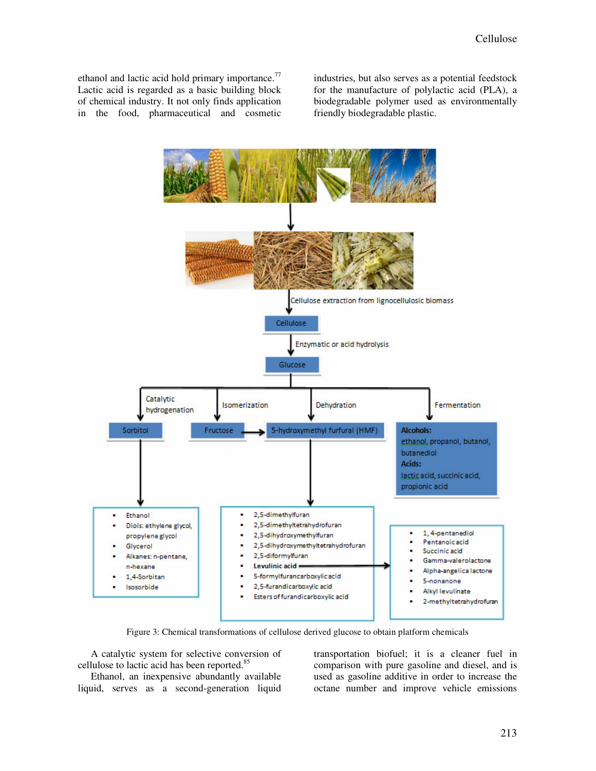ethanol and lactic acid hold primary importance.<sup>77</sup> Lactic acid is regarded as a basic building block of chemical industry. It not only finds application in the food, pharmaceutical and cosmetic

industries, but also serves as a potential feedstock for the manufacture of polylactic acid (PLA), a biodegradable polymer used as environmentally friendly biodegradable plastic.



Figure 3: Chemical transformations of cellulose derived glucose to obtain platform chemicals

A catalytic system for selective conversion of cellulose to lactic acid has been reported.<sup>85</sup>

Ethanol, an inexpensive abundantly available liquid, serves as a second-generation liquid transportation biofuel; it is a cleaner fuel in comparison with pure gasoline and diesel, and is used as gasoline additive in order to increase the octane number and improve vehicle emissions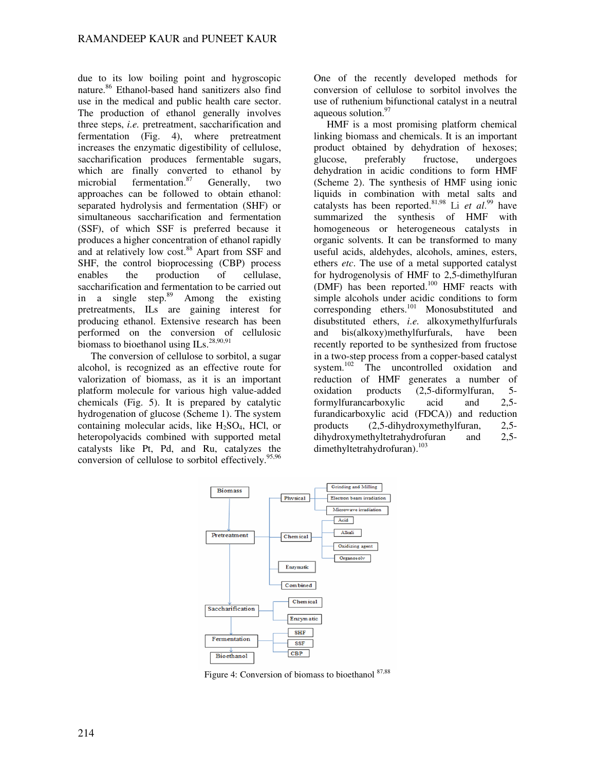due to its low boiling point and hygroscopic nature.<sup>86</sup> Ethanol-based hand sanitizers also find use in the medical and public health care sector. The production of ethanol generally involves three steps, *i.e.* pretreatment, saccharification and fermentation (Fig. 4), where pretreatment increases the enzymatic digestibility of cellulose, saccharification produces fermentable sugars, which are finally converted to ethanol by microbial fermentation.<sup>87</sup> Generally, two approaches can be followed to obtain ethanol: separated hydrolysis and fermentation (SHF) or simultaneous saccharification and fermentation (SSF), of which SSF is preferred because it produces a higher concentration of ethanol rapidly and at relatively low cost.<sup>88</sup> Apart from SSF and SHF, the control bioprocessing (CBP) process enables the production of cellulase, saccharification and fermentation to be carried out in a single step.<sup>89</sup> Among the existing pretreatments, ILs are gaining interest for producing ethanol. Extensive research has been performed on the conversion of cellulosic biomass to bioethanol using  $ILs.^{28,90,91}$ 

The conversion of cellulose to sorbitol, a sugar alcohol, is recognized as an effective route for valorization of biomass, as it is an important platform molecule for various high value-added chemicals (Fig. 5). It is prepared by catalytic hydrogenation of glucose (Scheme 1). The system containing molecular acids, like  $H_2SO_4$ , HCl, or heteropolyacids combined with supported metal catalysts like Pt, Pd, and Ru, catalyzes the conversion of cellulose to sorbitol effectively.<sup>9</sup>

One of the recently developed methods for conversion of cellulose to sorbitol involves the use of ruthenium bifunctional catalyst in a neutral aqueous solution.<sup>97</sup>

HMF is a most promising platform chemical linking biomass and chemicals. It is an important product obtained by dehydration of hexoses; glucose, preferably fructose, undergoes dehydration in acidic conditions to form HMF (Scheme 2). The synthesis of HMF using ionic liquids in combination with metal salts and catalysts has been reported.81,98 Li *et al*. <sup>99</sup> have summarized the synthesis of HMF with homogeneous or heterogeneous catalysts in organic solvents. It can be transformed to many useful acids, aldehydes, alcohols, amines, esters, ethers *etc*. The use of a metal supported catalyst for hydrogenolysis of HMF to 2,5-dimethylfuran (DMF) has been reported.<sup>100</sup> HMF reacts with simple alcohols under acidic conditions to form corresponding ethers.<sup>101</sup> Monosubstituted and disubstituted ethers, *i.e.* alkoxymethylfurfurals and bis(alkoxy)methylfurfurals, have been recently reported to be synthesized from fructose in a two-step process from a copper-based catalyst<br>system.<sup>102</sup> The uncontrolled oxidation and The uncontrolled oxidation and reduction of HMF generates a number of oxidation products (2,5-diformylfuran, 5 formylfurancarboxylic acid and 2,5 furandicarboxylic acid (FDCA)) and reduction products (2,5-dihydroxymethylfuran, 2,5 dihydroxymethyltetrahydrofuran and 2.5dimethyltetrahydrofuran).<sup>103</sup>



Figure 4: Conversion of biomass to bioethanol 87,88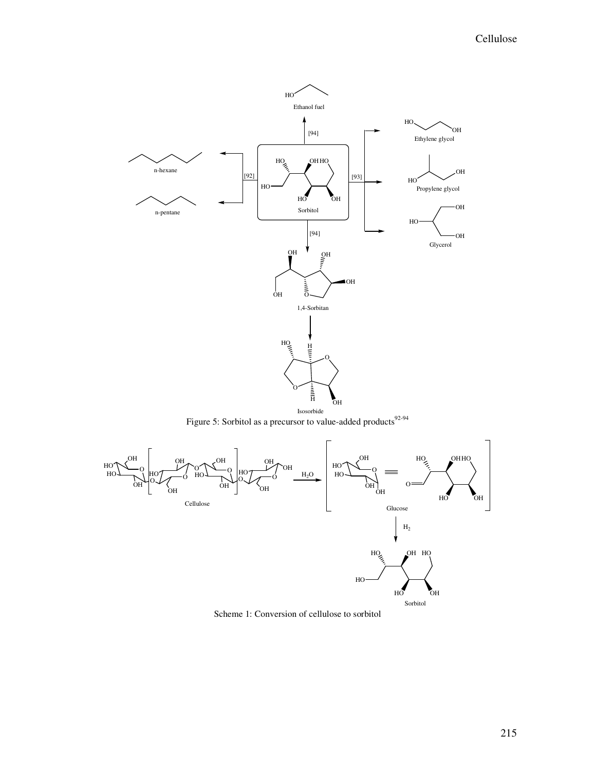

Figure 5: Sorbitol as a precursor to value-added products<sup>92-94</sup>



Scheme 1: Conversion of cellulose to sorbitol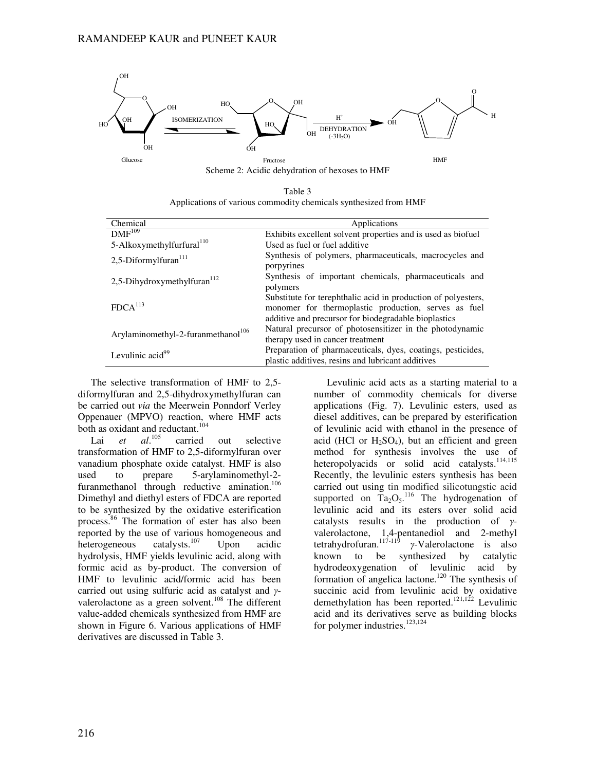

Table 3

|                                                                  | Tavit J |  |  |
|------------------------------------------------------------------|---------|--|--|
| Applications of various commodity chemicals synthesized from HMF |         |  |  |

| Chemical                                       | Applications                                                                                                                                                                  |
|------------------------------------------------|-------------------------------------------------------------------------------------------------------------------------------------------------------------------------------|
| $DMF^{109}$                                    | Exhibits excellent solvent properties and is used as biofuel                                                                                                                  |
| 5-Alkoxymethylfurfural <sup>110</sup>          | Used as fuel or fuel additive                                                                                                                                                 |
| 2,5-Diformylfuran $^{111}$                     | Synthesis of polymers, pharmaceuticals, macrocycles and<br>porpyrines                                                                                                         |
| 2,5-Dihydroxymethylfuran $112$                 | Synthesis of important chemicals, pharmaceuticals and<br>polymers                                                                                                             |
| FDCA <sup>113</sup>                            | Substitute for terephthalic acid in production of polyesters,<br>monomer for thermoplastic production, serves as fuel<br>additive and precursor for biodegradable bioplastics |
| Arylaminomethyl-2-furanmethanol <sup>106</sup> | Natural precursor of photosensitizer in the photodynamic<br>therapy used in cancer treatment                                                                                  |
| Levulinic acid <sup>99</sup>                   | Preparation of pharmaceuticals, dyes, coatings, pesticides,<br>plastic additives, resins and lubricant additives                                                              |

The selective transformation of HMF to 2,5 diformylfuran and 2,5-dihydroxymethylfuran can be carried out *via* the Meerwein Ponndorf Verley Oppenauer (MPVO) reaction, where HMF acts both as oxidant and reductant.<sup>104</sup>

Lai *et al.*<sup>105</sup> carried out selective transformation of HMF to 2,5-diformylfuran over vanadium phosphate oxide catalyst. HMF is also used to prepare 5-arylaminomethyl-2 furanmethanol through reductive amination.<sup>106</sup> Dimethyl and diethyl esters of FDCA are reported to be synthesized by the oxidative esterification process.<sup>86</sup> The formation of ester has also been reported by the use of various homogeneous and<br>heterogeneous catalysts.<sup>107</sup> Upon acidic heterogeneous catalysts.<sup>107</sup> Upon acidic hydrolysis, HMF yields levulinic acid, along with formic acid as by-product. The conversion of HMF to levulinic acid/formic acid has been carried out using sulfuric acid as catalyst and γvalerolactone as a green solvent.<sup>108</sup> The different value-added chemicals synthesized from HMF are shown in Figure 6. Various applications of HMF derivatives are discussed in Table 3.

Levulinic acid acts as a starting material to a number of commodity chemicals for diverse applications (Fig. 7). Levulinic esters, used as diesel additives, can be prepared by esterification of levulinic acid with ethanol in the presence of acid (HCl or  $H_2SO_4$ ), but an efficient and green method for synthesis involves the use of heteropolyacids or solid acid catalysts.<sup>114,115</sup> Recently, the levulinic esters synthesis has been carried out using tin modified silicotungstic acid supported on  $Ta_2O_5$ .<sup>116</sup> The hydrogenation of levulinic acid and its esters over solid acid catalysts results in the production of γvalerolactone, 1,4-pentanediol and 2-methyl tetrahydrofuran. $117-119$ γ*-*Valerolactone is also known to be synthesized by catalytic hydrodeoxygenation of levulinic acid by formation of angelica lactone.<sup>120</sup> The synthesis of succinic acid from levulinic acid by oxidative demethylation has been reported.<sup>121,122</sup> Levulinic acid and its derivatives serve as building blocks for polymer industries. $123,124$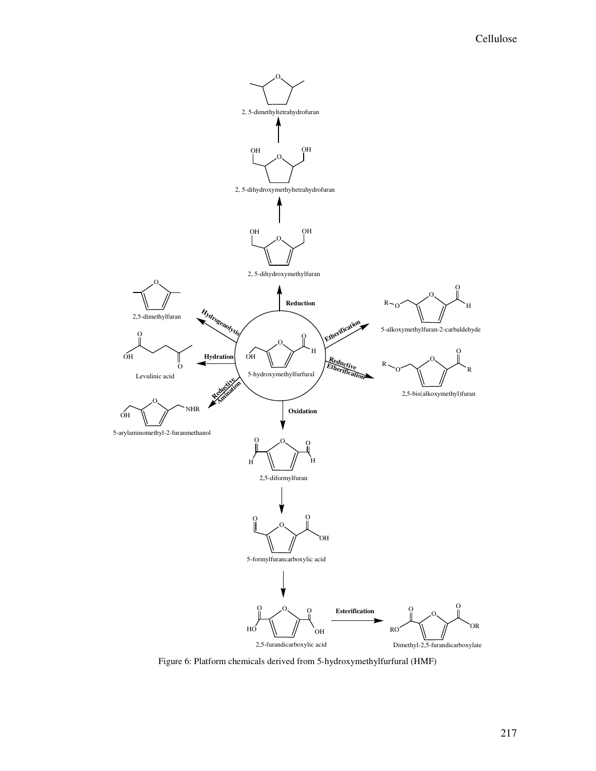

Figure 6: Platform chemicals derived from 5-hydroxymethylfurfural (HMF)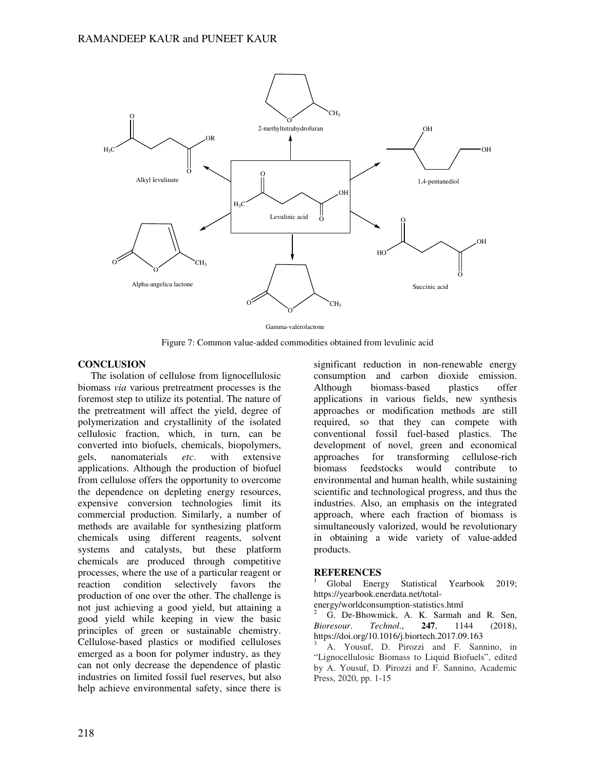

Gamma-valerolactone

Figure 7: Common value-added commodities obtained from levulinic acid

### **CONCLUSION**

The isolation of cellulose from lignocellulosic biomass *via* various pretreatment processes is the foremost step to utilize its potential. The nature of the pretreatment will affect the yield, degree of polymerization and crystallinity of the isolated cellulosic fraction, which, in turn, can be converted into biofuels, chemicals, biopolymers, gels, nanomaterials *etc*. with extensive applications. Although the production of biofuel from cellulose offers the opportunity to overcome the dependence on depleting energy resources, expensive conversion technologies limit its commercial production. Similarly, a number of methods are available for synthesizing platform chemicals using different reagents, solvent systems and catalysts, but these platform chemicals are produced through competitive processes, where the use of a particular reagent or reaction condition selectively favors the production of one over the other. The challenge is not just achieving a good yield, but attaining a good yield while keeping in view the basic principles of green or sustainable chemistry. Cellulose-based plastics or modified celluloses emerged as a boon for polymer industry, as they can not only decrease the dependence of plastic industries on limited fossil fuel reserves, but also help achieve environmental safety, since there is

significant reduction in non-renewable energy consumption and carbon dioxide emission. Although biomass-based plastics offer applications in various fields, new synthesis approaches or modification methods are still required, so that they can compete with conventional fossil fuel-based plastics. The development of novel, green and economical approaches for transforming cellulose-rich biomass feedstocks would contribute environmental and human health, while sustaining scientific and technological progress, and thus the industries. Also, an emphasis on the integrated approach, where each fraction of biomass is simultaneously valorized, would be revolutionary in obtaining a wide variety of value-added products.

### **REFERENCES**

<sup>1</sup> Global Energy Statistical Yearbook 2019; https://yearbook.enerdata.net/total-

energy/worldconsumption-statistics.html

G. De-Bhowmick, A. K. Sarmah and R. Sen,<br>resour. Technol.. 247. 1144 (2018). *Bioresour*. *Technol*., **247**, 1144 (2018), https://doi.org/10.1016/j.biortech.2017.09.163

<sup>3</sup> A. Yousuf, D. Pirozzi and F. Sannino, in "Lignocellulosic Biomass to Liquid Biofuels", edited by A. Yousuf, D. Pirozzi and F. Sannino, Academic Press, 2020, pp. 1-15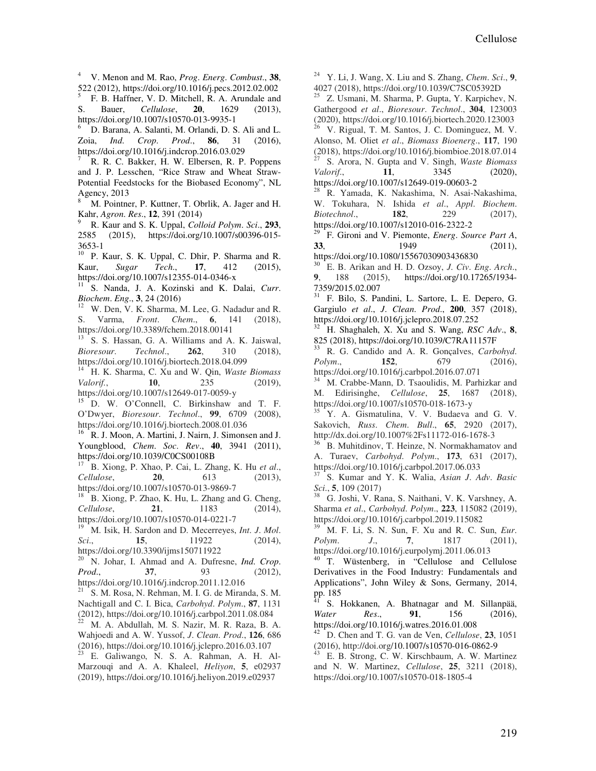<sup>4</sup> V. Menon and M. Rao, *Prog*. *Energ*. *Combust*., **38**, 522 (2012), https://doi.org/10.1016/j.pecs.2012.02.002<br>  $\overline{5}$  E P Hoffner V D Mitchell P A Arundale and

F. B. Haffner, V. D. Mitchell, R. A. Arundale and S. Bauer, *Cellulose*, **20**, 1629 (2013), https://doi.org/10.1007/s10570-013-9935-1

<sup>6</sup> D. Barana, A. Salanti, M. Orlandi, D. S. Ali and L. Zoia, *Ind*. *Crop*. *Prod*., **86**, 31 (2016), https://doi.org/10.1016/j.indcrop.2016.03.029

<sup>7</sup> R. R. C. Bakker, H. W. Elbersen, R. P. Poppens and J. P. Lesschen, "Rice Straw and Wheat Straw-Potential Feedstocks for the Biobased Economy", NL Agency, 2013

<sup>8</sup> M. Pointner, P. Kuttner, T. Obrlik, A. Jager and H. Kahr, *Agron*. *Res*., **12**, 391 (2014)

<sup>9</sup> R. Kaur and S. K. Uppal, *Colloid Polym*. *Sci*., **293**, 2585 (2015), https://doi.org/10.1007/s00396-015- 3653-1

<sup>10</sup> P. Kaur, S. K. Uppal, C. Dhir, P. Sharma and R. Kaur, *Sugar Tech*., **17**, 412 (2015), https://doi.org/10.1007/s12355-014-0346-x

<sup>11</sup> S. Nanda, J. A. Kozinski and K. Dalai, *Curr*. *Biochem*. *Eng*., **3**, 24 (2016)

W. Den, V. K. Sharma, M. Lee, G. Nadadur and R. S. Varma, *Front*. *Chem*., **6**, 141 (2018), https://doi.org/10.3389/fchem.2018.00141

<sup>13</sup> S. S. Hassan, G. A. Williams and A. K. Jaiswal, *Bioresour*. *Technol*., **262**, 310 (2018), https://doi.org/10.1016/j.biortech.2018.04.099

<sup>14</sup> H. K. Sharma, C. Xu and W. Qin, *Waste Biomass Valorif.*, **10**, 235 (2019), https://doi.org/10.1007/s12649-017-0059-y

<sup>15</sup> D. W. O'Connell, C. Birkinshaw and T. F. O'Dwyer, *Bioresour*. *Technol*., **99**, 6709 (2008), https://doi.org/10.1016/j.biortech.2008.01.036

<sup>16</sup> R. J. Moon, A. Martini, J. Nairn, J. Simonsen and J. Youngblood, *Chem*. *Soc*. *Rev*., **40**, 3941 (2011), https://doi.org/10.1039/C0CS00108B

<sup>17</sup> B. Xiong, P. Xhao, P. Cai, L. Zhang, K. Hu *et al*., *Cellulose*, **20**, 613 (2013), https://doi.org/10.1007/s10570-013-9869-7

<sup>18</sup> B. Xiong, P. Zhao, K. Hu, L. Zhang and G. Cheng, *Cellulose*, **21**, 1183 (2014), https://doi.org/10.1007/s10570-014-0221-7

19 M. Isik, H. Sardon and D. Mecerreyes, *Int. J. Mol.*<br>*i.* **15.** 11922 (2014). *Sci.*, **15**, **11922** (2014), https://doi.org/10.3390/ijms150711922

<sup>20</sup> N. Johar, I. Ahmad and A. Dufresne, *Ind*. *Crop*. *Prod.*, **37**, 93 (2012), https://doi.org/10.1016/j.indcrop.2011.12.016

 $21$  S. M. Rosa, N. Rehman, M. I. G. de Miranda, S. M. Nachtigall and C. I. Bica, *Carbohyd*. *Polym*., **87**, 1131 (2012), https://doi.org/10.1016/j.carbpol.2011.08.084

M. A. Abdullah, M. S. Nazir, M. R. Raza, B. A. Wahjoedi and A. W. Yussof, *J*. *Clean*. *Prod*., **126**, 686  $(2016)$ , https://doi.org/10.1016/j.jclepro.2016.03.107

E. Galiwango, N. S. A. Rahman, A. H. Al-Marzouqi and A. A. Khaleel, *Heliyon*, **5**, e02937 (2019), https://doi.org/10.1016/j.heliyon.2019.e02937

<sup>24</sup> Y. Li, J. Wang, X. Liu and S. Zhang, *Chem*. *Sci*., **9**, 4027 (2018), https://doi.org/10.1039/C7SC05392D

Z. Usmani, M. Sharma, P. Gupta, Y. Karpichev, N. Gathergood *et al*., *Bioresour*. *Technol*., **304**, 123003 (2020), https://doi.org/10.1016/j.biortech.2020.123003  $26$  V. Rigual, T. M. Santos, J. C. Dominguez, M. V.

Alonso, M. Oliet *et al*., *Biomass Bioenerg*., **117**, 190 (2018), https://doi.org/10.1016/j.biombioe.2018.07.014 <sup>27</sup> S. Arora, N. Gupta and V. Singh, *Waste Biomass* 

*Valorif*., **11**, 3345 (2020), https://doi.org/10.1007/s12649-019-00603-2

<sup>28</sup> R. Yamada, K. Nakashima, N. Asai-Nakashima, W. Tokuhara, N. Ishida *et al*., *Appl*. *Biochem*. *Biotechnol*., **182**, 229 (2017), https://doi.org/10.1007/s12010-016-2322-2

<sup>29</sup> F. Gironi and V. Piemonte, *Energ*. *Source Part A*, **33**, 1949 (2011), https://doi.org/10.1080/15567030903436830

<sup>30</sup> E. B. Arikan and H. D. Ozsoy, *J*. *Civ*. *Eng*. *Arch*., **9**, 188 (2015), https://doi.org/10.17265/1934- 7359/2015.02.007

<sup>31</sup> F. Bilo, S. Pandini, L. Sartore, L. E. Depero, G. Gargiulo *et al*., *J*. *Clean*. *Prod*., **200**, 357 (2018), https://doi.org/10.1016/j.jclepro.2018.07.252

<sup>32</sup> H. Shaghaleh, X. Xu and S. Wang, *RSC Adv*., **8**, 825 (2018), https://doi.org/10.1039/C7RA11157F

<sup>33</sup> R. G. Candido and A. R. Gonçalves, *Carbohyd*. *Polym*., **152**, 679 (2016), https://doi.org/10.1016/j.carbpol.2016.07.071

M. Crabbe-Mann, D. Tsaoulidis, M. Parhizkar and M. Edirisinghe, *Cellulose*, **25**, 1687 (2018), https://doi.org/10.1007/s10570-018-1673-y

<sup>35</sup> Y. A. Gismatulina, V. V. Budaeva and G. V. Sakovich, *Russ*. *Chem*. *Bull*., **65**, 2920 (2017), http://dx.doi.org/10.1007%2Fs11172-016-1678-3

B. Muhitdinov, T. Heinze, N. Normakhamatov and A. Turaev, *Carbohyd*. *Polym*., **173**, 631 (2017), https://doi.org/10.1016/j.carbpol.2017.06.033

<sup>37</sup> S. Kumar and Y. K. Walia, *Asian J*. *Adv*. *Basic Sci*., **5**, 109 (2017)

<sup>38</sup> G. Joshi, V. Rana, S. Naithani, V. K. Varshney, A. Sharma *et al*., *Carbohyd*. *Polym*., **223**, 115082 (2019), https://doi.org/10.1016/j.carbpol.2019.115082

<sup>39</sup> M. F. Li, S. N. Sun, F. Xu and R. C. Sun, *Eur*. *Polym. J.,* https://doi.org/10.1016/j.eurpolymj.2011.06.013

<sup>40</sup> T. Wüstenberg, in "Cellulose and Cellulose Derivatives in the Food Industry: Fundamentals and Applications", John Wiley & Sons, Germany, 2014, pp. 185

<sup>41</sup> S. Hokkanen, A. Bhatnagar and M. Sillanpää, *Water Res*., **91**, 156 (2016), https://doi.org/10.1016/j.watres.2016.01.008

<sup>42</sup> D. Chen and T. G. van de Ven, *Cellulose*, **23**, 1051 (2016), http://doi.org/10.1007/s10570-016-0862-9

E. B. Strong, C. W. Kirschbaum, A. W. Martinez and N. W. Martinez, *Cellulose*, **25**, 3211 (2018), https://doi.org/10.1007/s10570-018-1805-4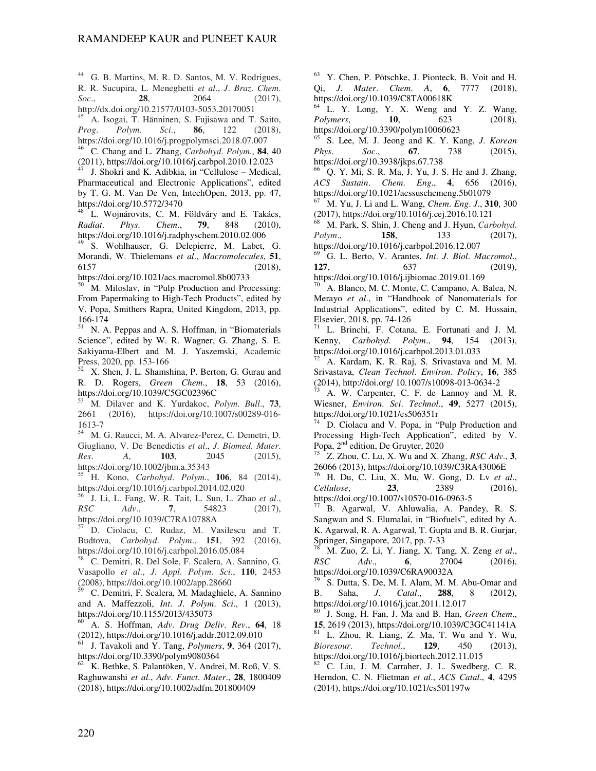<sup>44</sup> G. B. Martins, M. R. D. Santos, M. V. Rodrigues, R. R. Sucupira, L. Meneghetti *et al*., *J*. *Braz*. *Chem*. *Soc*., **28**, 2064 (2017), http://dx.doi.org/10.21577/0103-5053.20170051

<sup>45</sup> A. Isogai, T. Hänninen, S. Fujisawa and T. Saito, *Prog*. *Polym*. *Sci*., **86**, 122 (2018), https://doi.org/10.1016/j.progpolymsci.2018.07.007

<sup>46</sup> C. Chang and L. Zhang, *Carbohyd*. *Polym*., **84**, 40  $(2011)$ , https://doi.org/10.1016/j.carbpol.2010.12.023

<sup>47</sup> J. Shokri and K. Adibkia, in "Cellulose – Medical, Pharmaceutical and Electronic Applications", edited by T. G. M. Van De Ven, IntechOpen, 2013, pp. 47, https://doi.org/10.5772/3470

<sup>48</sup> L. Wojnárovits, C. M. Földváry and E. Takács, *Radiat*. *Phys*. *Chem*., **79**, 848 (2010), https://doi.org/10.1016/j.radphyschem.2010.02.006

<sup>49</sup> S. Wohlhauser, G. Delepierre, M. Labet, G. Morandi, W. Thielemans *et al*., *Macromolecules*, **51**, 6157 (2018),

https://doi.org/10.1021/acs.macromol.8b00733

<sup>50</sup> M. Miloslav, in "Pulp Production and Processing: From Papermaking to High-Tech Products", edited by V. Popa, Smithers Rapra, United Kingdom, 2013, pp. 166-174

N. A. Peppas and A. S. Hoffman, in "Biomaterials" Science", edited by W. R. Wagner, G. Zhang, S. E. Sakiyama-Elbert and M. J. Yaszemski, Academic Press, 2020, pp. 153-166

<sup>52</sup> X. Shen, J. L. Shamshina, P. Berton, G. Gurau and R. D. Rogers, *Green Chem*., **18**, 53 (2016), https://doi.org/10.1039/C5GC02396C

<sup>53</sup> M. Dilaver and K. Yurdakoc, *Polym*. *Bull*., **73**, 2661 (2016), https://doi.org/10.1007/s00289-016- 1613-7

<sup>54</sup> M. G. Raucci, M. A. Alvarez-Perez, C. Demetri, D. Giugliano, V. De Benedictis *et al*., *J*. *Biomed*. *Mater*. *Res*. *A*, **103**, 2045 (2015), https://doi.org/10.1002/jbm.a.35343

<sup>55</sup> H. Kono, *Carbohyd*. *Polym*., **106**, 84 (2014), https://doi.org/10.1016/j.carbpol.2014.02.020

<sup>56</sup> J. Li, L. Fang, W. R. Tait, L. Sun, L. Zhao *et al*., *RSC Adv*., **7**, 54823 (2017), https://doi.org/10.1039/C7RA10788A

<sup>57</sup> D. Ciolacu, C. Rudaz, M. Vasilescu and T. Budtova, *Carbohyd*. *Polym*., **151**, 392 (2016), https://doi.org/10.1016/j.carbpol.2016.05.084

<sup>58</sup> C. Demitri, R. Del Sole, F. Scalera, A. Sannino, G. Vasapollo *et al*., *J*. *Appl*. *Polym*. *Sci*., **110**, 2453 (2008), https://doi.org/10.1002/app.28660

<sup>59</sup> C. Demitri, F. Scalera, M. Madaghiele, A. Sannino and A. Maffezzoli, *Int*. *J*. *Polym*. *Sci*., 1 (2013), https://doi.org/10.1155/2013/435073

<sup>60</sup> A. S. Hoffman, *Adv*. *Drug Deliv*. *Rev*., **64**, 18 (2012), https://doi.org/10.1016/j.addr.2012.09.010

<sup>61</sup> J. Tavakoli and Y. Tang, *Polymers*, **9**, 364 (2017), https://doi.org/10.3390/polym9080364

 $62$  K. Bethke, S. Palantöken, V. Andrei, M. Roß, V. S. Raghuwanshi *et al.*, *Adv*. *Funct*. *Mater*., **28**, 1800409 (2018), https://doi.org/10.1002/adfm.201800409

<sup>63</sup> Y. Chen, P. Pötschke, J. Pionteck, B. Voit and H. Qi, *J*. *Mater*. *Chem*. *A*, **6**, 7777 (2018), https://doi.org/10.1039/C8TA00618K

 $64 \text{ L}$ . Y. Long, Y. X. Weng and Y. Z. Wang, *Polymers*, **10**, 623 (2018), *Polymers*, **10**, 623 (2018), https://doi.org/10.3390/polym10060623

<sup>65</sup> S. Lee, M. J. Jeong and K. Y. Kang, *J*. *Korean Phys*. *Soc*., **67**, 738 (2015), https://doi.org/10.3938/jkps.67.738

<sup>66</sup> Q. Y. Mi, S. R. Ma, J. Yu, J. S. He and J. Zhang, *ACS Sustain*. *Chem*. *Eng*., **4**, 656 (2016), https://doi.org/10.1021/acssuschemeng.5b01079

<sup>67</sup> M. Yu, J. Li and L. Wang, *Chem*. *Eng*. *J*., **310**, 300 (2017), https://doi.org/10.1016/j.cej.2016.10.121

<sup>68</sup> M. Park, S. Shin, J. Cheng and J. Hyun, *Carbohyd*. *Polym.*, **158**, **133** (2017), https://doi.org/10.1016/j.carbpol.2016.12.007

<sup>69</sup> G. L. Berto, V. Arantes, *Int*. *J*. *Biol*. *Macromol*., **127**, 637 (2019), https://doi.org/10.1016/j.ijbiomac.2019.01.169

A. Blanco, M. C. Monte, C. Campano, A. Balea, N. Merayo *et al*., in "Handbook of Nanomaterials for Industrial Applications", edited by C. M. Hussain, Elsevier, 2018, pp. 74-126

L. Brinchi, F. Cotana, E. Fortunati and J. M. Kenny, *Carbohyd*. *Polym*., **94**, 154 (2013), https://doi.org/10.1016/j.carbpol.2013.01.033

A. Kardam, K. R. Raj, S. Srivastava and M. M. Srivastava, *Clean Technol*. *Environ*. *Policy*, **16**, 385 (2014), http://doi.org/ 10.1007/s10098-013-0634-2

A. W. Carpenter, C. F. de Lannoy and M. R. Wiesner, *Environ*. *Sci*. *Technol*., **49**, 5277 (2015), https://doi.org/10.1021/es506351r

D. Ciolacu and V. Popa, in "Pulp Production and Processing High-Tech Application", edited by V. Popa, 2<sup>nd</sup> edition, De Gruyter, 2020

<sup>75</sup> Z. Zhou, C. Lu, X. Wu and X. Zhang, *RSC Adv*., **3**, 26066 (2013), https://doi.org/10.1039/C3RA43006E

<sup>76</sup> H. Du, C. Liu, X. Mu, W. Gong, D. Lv *et al*., *Cellulose*, **23**, 2389 (2016), https://doi.org/10.1007/s10570-016-0963-5

B. Agarwal, V. Ahluwalia, A. Pandey, R. S. Sangwan and S. Elumalai, in "Biofuels", edited by A. K. Agarwal, R. A. Agarwal, T. Gupta and B. R. Gurjar, Springer, Singapore, 2017, pp. 7-33

<sup>78</sup> M. Zuo, Z. Li, Y. Jiang, X. Tang, X. Zeng *et al.*, *RSC*  $Adv.$  **6.** 27004 (2016). *RSC Adv*., **6**, 27004 (2016), https://doi.org/10.1039/C6RA90032A

<sup>79</sup> S. Dutta, S. De, M. I. Alam, M. M. Abu-Omar and B. Saha. *J. Catal.* **288**. 8 (2012). B. Saha, *J*. *Catal*., **288**, 8 (2012), https://doi.org/10.1016/j.jcat.2011.12.017

<sup>80</sup> J. Song, H. Fan, J. Ma and B. Han, *Green Chem*., **15**, 2619 (2013), https://doi.org/10.1039/C3GC41141A L. Zhou, R. Liang, Z. Ma, T. Wu and Y. Wu,

*Bioresour*. *Technol*., **129**, 450 (2013), https://doi.org/10.1016/j.biortech.2012.11.015

 $82$  C. Liu, J. M. Carraher, J. L. Swedberg, C. R. Herndon, C. N. Flietman *et al*., *ACS Catal*., **4**, 4295 (2014), https://doi.org/10.1021/cs501197w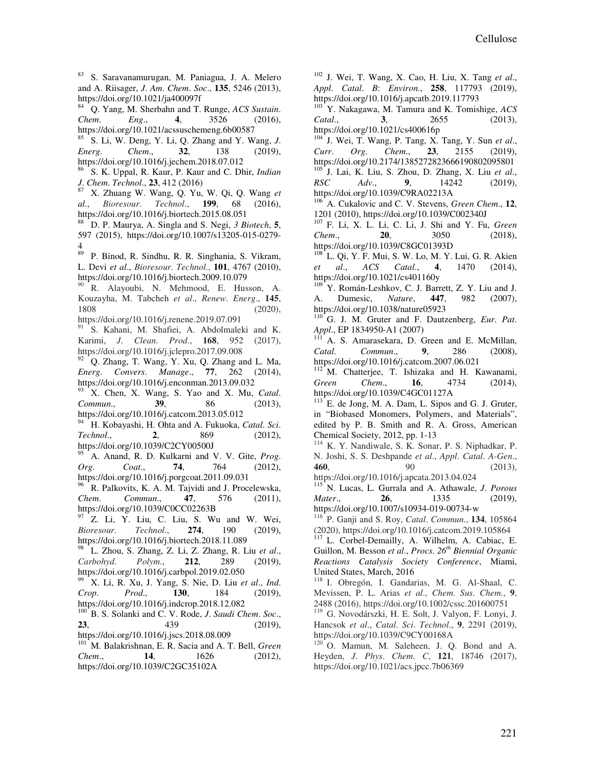<sup>83</sup> S. Saravanamurugan, M. Paniagua, J. A. Melero and A. Riisager, *J*. *Am*. *Chem*. *Soc*., **135**, 5246 (2013), https://doi.org/10.1021/ja400097f

<sup>84</sup> Q. Yang, M. Sherbahn and T. Runge, *ACS Sustain*. *Chem*. *Eng*., **4**, 3526 (2016), https://doi.org/10.1021/acssuschemeng.6b00587

<sup>85</sup> S. Li, W. Deng, Y. Li, Q. Zhang and Y. Wang, *J*. *Energ*. *Chem*., **32**, 138 (2019), https://doi.org/10.1016/j.jechem.2018.07.012

<sup>86</sup> S. K. Uppal, R. Kaur, P. Kaur and C. Dhir, *Indian J*. *Chem*. *Technol*., **23**, 412 (2016)

<sup>87</sup> X. Zhuang W. Wang, Q. Yu, W. Qi, Q. Wang *et al*., *Bioresour*. *Technol*., **199**, 68 (2016), https://doi.org/10.1016/j.biortech.2015.08.051

<sup>88</sup> D. P. Maurya, A. Singla and S. Negi, *3 Biotech*, **5**, 597 (2015), https://doi.org/10.1007/s13205-015-0279-  $\frac{4}{89}$ 

<sup>89</sup> P. Binod, R. Sindhu, R. R. Singhania, S. Vikram, L. Devi *et al*., *Bioresour*. *Technol*., **101**, 4767 (2010), https://doi.org/10.1016/j.biortech.2009.10.079

<sup>90</sup> R. Alayoubi, N. Mehmood, E. Husson, A. Kouzayha, M. Tabcheh *et al*., *Renew*. *Energ*., **145**, 1808 (2020),

https://doi.org/10.1016/j.renene.2019.07.091

<sup>91</sup> S. Kahani, M. Shafiei, A. Abdolmaleki and K. Karimi, *J*. *Clean*. *Prod*., **168**, 952 (2017), https://doi.org/10.1016/j.jclepro.2017.09.008

 $92$  Q. Zhang, T. Wang, Y. Xu, Q. Zhang and L. Ma, *Energ*. *Convers*. *Manage*., **77**, 262 (2014), https://doi.org/10.1016/j.enconman.2013.09.032

<sup>93</sup> X. Chen, X. Wang, S. Yao and X. Mu, *Catal*. *Commun*., **39**, 86 (2013), https://doi.org/10.1016/j.catcom.2013.05.012

<sup>94</sup> H. Kobayashi, H. Ohta and A. Fukuoka, *Catal*. *Sci*. *Technol*., **2**, 869 (2012), https://doi.org/10.1039/C2CY00500J

<sup>95</sup> A. Anand, R. D. Kulkarni and V. V. Gite, *Prog*. *Org*. *Coat*., **74**, 764 (2012), https://doi.org/10.1016/j.porgcoat.2011.09.031

<sup>96</sup> R. Palkovits, K. A. M. Tajvidi and J. Procelewska, *Chem*. *Commun*., **47**, 576 (2011), https://doi.org/10.1039/C0CC02263B

 $97$  Z. Li, Y. Liu, C. Liu, S. Wu and W. Wei, *Bioresour*. *Technol*., **274**, 190 (2019), https://doi.org/10.1016/j.biortech.2018.11.089

<sup>98</sup> L. Zhou, S. Zhang, Z. Li, Z. Zhang, R. Liu *et al*., *Carbohyd*. *Polym*., **212**, 289 (2019), https://doi.org/10.1016/j.carbpol.2019.02.050

<sup>99</sup> X. Li, R. Xu, J. Yang, S. Nie, D. Liu *et al*., *Ind*. *Crop*. *Prod*., **130**, 184 (2019), https://doi.org/10.1016/j.indcrop.2018.12.082

<sup>100</sup> B. S. Solanki and C. V. Rode, *J*. *Saudi Chem*. *Soc*., **23**, 439 (2019),

https://doi.org/10.1016/j.jscs.2018.08.009

<sup>101</sup> M. Balakrishnan, E. R. Sacia and A. T. Bell, *Green Chem*., **14**, 1626 (2012), https://doi.org/10.1039/C2GC35102A

<sup>102</sup> J. Wei, T. Wang, X. Cao, H. Liu, X. Tang *et al*., *Appl*. *Catal*. *B*: *Environ*., **258**, 117793 (2019), https://doi.org/10.1016/j.apcatb.2019.117793

<sup>103</sup> Y. Nakagawa, M. Tamura and K. Tomishige, *ACS Catal*., **3**, 2655 (2013), https://doi.org/10.1021/cs400616p

<sup>104</sup> J. Wei, T. Wang, P. Tang, X. Tang, Y. Sun *et al*., *Curr*. *Org*. *Chem*., **23**, 2155 (2019), https://doi.org/10.2174/1385272823666190802095801 <sup>105</sup> J. Lai, K. Liu, S. Zhou, D. Zhang, X. Liu *et al*., *RSC Adv*., **9**, 14242 (2019),

https://doi.org/10.1039/C9RA02213A

A. Cukalovic and C. V. Stevens, *Green Chem.*, 12, 1201 (2010), https://doi.org/10.1039/C002340J

<sup>107</sup> F. Li, X. L. Li, C. Li, J. Shi and Y. Fu, *Green Chem*., **20**, 3050 (2018), https://doi.org/10.1039/C8GC01393D

<sup>108</sup> L. Qi, Y. F. Mui, S. W. Lo, M. Y. Lui, G. R. Akien *et al*., *ACS Catal*., **4**, 1470 (2014), https://doi.org/10.1021/cs401160y

<sup>109</sup> Y. Román-Leshkov, C. J. Barrett, Z. Y. Liu and J. A. Dumesic, *Nature*, **447**, 982 (2007), https://doi.org/10.1038/nature05923

<sup>110</sup> G. J. M. Gruter and F. Dautzenberg, *Eur*. *Pat*. *Appl*., EP 1834950-A1 (2007)

A. S. Amarasekara, D. Green and E. McMillan, *Catal*. *Commun*., **9**, 286 (2008), https://doi.org/10.1016/j.catcom.2007.06.021

<sup>112</sup> M. Chatterjee, T. Ishizaka and H. Kawanami, *Green Chem*., **16**, 4734 (2014), https://doi.org/10.1039/C4GC01127A

E. de Jong, M. A. Dam, L. Sipos and G. J. Gruter, in "Biobased Monomers, Polymers, and Materials", edited by P. B. Smith and R. A. Gross, American Chemical Society, 2012, pp. 1-13

<sup>114</sup> K. Y. Nandiwale, S. K. Sonar, P. S. Niphadkar, P. N. Joshi, S. S. Deshpande *et al*., *Appl*. *Catal*. *A-Gen*., **460**, 90 (2013),

https://doi.org/10.1016/j.apcata.2013.04.024 <sup>115</sup> N. Lucas, L. Gurrala and A. Athawale, *J*. *Porous Mater*., **26**, 1335 (2019), https://doi.org/10.1007/s10934-019-00734-w

<sup>116</sup> P. Ganji and S. Roy, *Catal*. *Commun*., **134**, 105864 (2020), https://doi.org/10.1016/j.catcom.2019.105864

<sup>117</sup> L. Corbel-Demailly, A. Wilhelm, A. Cabiac, E. Guillon, M. Besson *et al*., *Procs*. *26th Biennial Organic Reactions Catalysis Society Conference*, Miami, United States, March, 2016

<sup>118</sup> I. Obregón, I. Gandarias, M. G. Al-Shaal, C. Mevissen, P. L. Arias *et al*., *Chem*. *Sus*. *Chem*., **9**, 2488 (2016), https://doi.org/10.1002/cssc.201600751

<sup>119</sup> G. Novodárszki, H. E. Solt, J. Valyon, F. Lonyi, J. Hancsok *et al*., *Catal*. *Sci*. *Technol*., **9**, 2291 (2019), https://doi.org/10.1039/C9CY00168A

<sup>120</sup> O. Mamun, M. Saleheen, J. Q. Bond and A. Heyden, *J*. *Phys*. *Chem*. *C*, **121**, 18746 (2017), https://doi.org/10.1021/acs.jpcc.7b06369